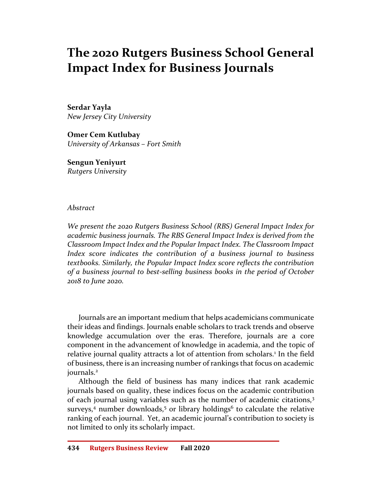# The 2020 Rutgers Business School General Impact Index for Business Journals

Serdar Yayla New Jersey City University

Omer Cem Kutlubay University of Arkansas – Fort Smith

Sengun Yeniyurt Rutgers University

#### Abstract

We present the 2020 Rutgers Business School (RBS) General Impact Index for academic business journals. The RBS General Impact Index is derived from the Classroom Impact Index and the Popular Impact Index. The Classroom Impact Index score indicates the contribution of a business journal to business textbooks. Similarly, the Popular Impact Index score reflects the contribution of a business journal to best-selling business books in the period of October 2018 to June 2020.

Journals are an important medium that helps academicians communicate their ideas and findings. Journals enable scholars to track trends and observe knowledge accumulation over the eras. Therefore, journals are a core component in the advancement of knowledge in academia, and the topic of relative journal quality attracts a lot of attention from scholars.<sup>1</sup> In the field of business, there is an increasing number of rankings that focus on academic journals.<sup>2</sup>

Although the field of business has many indices that rank academic journals based on quality, these indices focus on the academic contribution of each journal using variables such as the number of academic citations,<sup>3</sup> surveys,<sup>4</sup> number downloads,<sup>5</sup> or library holdings<sup>6</sup> to calculate the relative ranking of each journal. Yet, an academic journal's contribution to society is not limited to only its scholarly impact.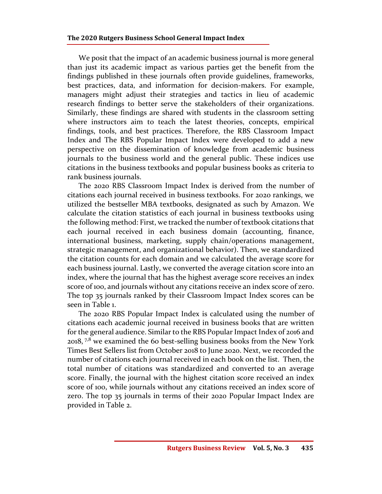We posit that the impact of an academic business journal is more general than just its academic impact as various parties get the benefit from the findings published in these journals often provide guidelines, frameworks, best practices, data, and information for decision-makers. For example, managers might adjust their strategies and tactics in lieu of academic research findings to better serve the stakeholders of their organizations. Similarly, these findings are shared with students in the classroom setting where instructors aim to teach the latest theories, concepts, empirical findings, tools, and best practices. Therefore, the RBS Classroom Impact Index and The RBS Popular Impact Index were developed to add a new perspective on the dissemination of knowledge from academic business journals to the business world and the general public. These indices use citations in the business textbooks and popular business books as criteria to rank business journals.

The 2020 RBS Classroom Impact Index is derived from the number of citations each journal received in business textbooks. For 2020 rankings, we utilized the bestseller MBA textbooks, designated as such by Amazon. We calculate the citation statistics of each journal in business textbooks using the following method: First, we tracked the number of textbook citations that each journal received in each business domain (accounting, finance, international business, marketing, supply chain/operations management, strategic management, and organizational behavior). Then, we standardized the citation counts for each domain and we calculated the average score for each business journal. Lastly, we converted the average citation score into an index, where the journal that has the highest average score receives an index score of 100, and journals without any citations receive an index score of zero. The top 35 journals ranked by their Classroom Impact Index scores can be seen in Table 1.

The 2020 RBS Popular Impact Index is calculated using the number of citations each academic journal received in business books that are written for the general audience. Similar to the RBS Popular Impact Index of 2016 and 2018,  $7.8$  we examined the 60 best-selling business books from the New York Times Best Sellers list from October 2018 to June 2020. Next, we recorded the number of citations each journal received in each book on the list. Then, the total number of citations was standardized and converted to an average score. Finally, the journal with the highest citation score received an index score of 100, while journals without any citations received an index score of zero. The top 35 journals in terms of their 2020 Popular Impact Index are provided in Table 2.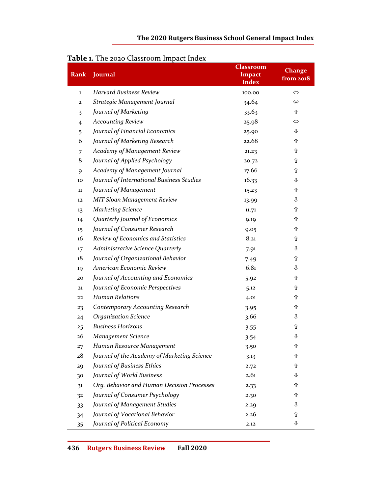### The 2020 Rutgers Business School General Impact Index

| Rank           | Journal                                     | <b>Classroom</b><br><b>Impact</b><br>Index | Change<br>from 2018 |
|----------------|---------------------------------------------|--------------------------------------------|---------------------|
| 1              | <b>Harvard Business Review</b>              | 100.00                                     | $\Leftrightarrow$   |
| $\mathbf{2}$   | Strategic Management Journal                | 34.64                                      | ⇔                   |
| 3              | Journal of Marketing                        | 33.63                                      | ⇧                   |
| $\overline{4}$ | <b>Accounting Review</b>                    | 25.98                                      | $\Leftrightarrow$   |
| 5              | Journal of Financial Economics              | 25.90                                      | ⇩                   |
| 6              | Journal of Marketing Research               | 22.68                                      | ⇧                   |
| 7              | Academy of Management Review                | 21.23                                      | ⇧                   |
| 8              | Journal of Applied Psychology               | 20.72                                      | ⇧                   |
| 9              | Academy of Management Journal               | 17.66                                      | ⇧                   |
| 10             | Journal of International Business Studies   | 16.33                                      | ⇩                   |
| $11\,$         | Journal of Management                       | 15.23                                      | ⇧                   |
| 12             | <b>MIT Sloan Management Review</b>          | 13.99                                      | ⇩                   |
| 13             | <b>Marketing Science</b>                    | 11.71                                      | ⇧                   |
| 14             | Quarterly Journal of Economics              | 9.19                                       | ⇧                   |
| 15             | Journal of Consumer Research                | 9.05                                       | ⇧                   |
| 16             | Review of Economics and Statistics          | 8.21                                       | ⇧                   |
| 17             | Administrative Science Quarterly            | 7.91                                       | ⇩                   |
| 18             | Journal of Organizational Behavior          | 7.49                                       | ⇧                   |
| 19             | American Economic Review                    | 6.81                                       | ⇩                   |
| 20             | Journal of Accounting and Economics         | 5.92                                       | ⇧                   |
| 21             | Journal of Economic Perspectives            | 5.12                                       | ⇧                   |
| 22             | <b>Human Relations</b>                      | 4.01                                       | ⇧                   |
| 23             | <b>Contemporary Accounting Research</b>     | 3.95                                       | ⇧                   |
| 24             | <b>Organization Science</b>                 | 3.66                                       | ⇩                   |
| 25             | <b>Business Horizons</b>                    | 3.55                                       | ⇧                   |
| 26             | <b>Management Science</b>                   | 3.54                                       | ⇩                   |
| 27             | Human Resource Management                   | 3.50                                       | ⇧                   |
| 28             | Journal of the Academy of Marketing Science | 3.13                                       | ⇧                   |
| 29             | Journal of Business Ethics                  | 2.72                                       | ⇧                   |
| 30             | Journal of World Business                   | 2.61                                       | ⇩                   |
| 31             | Org. Behavior and Human Decision Processes  | 2.33                                       | ⇧                   |
| 32             | Journal of Consumer Psychology              | 2.30                                       | ⇧                   |
| 33             | Journal of Management Studies               | 2.29                                       | ⇩                   |
| 34             | Journal of Vocational Behavior              | 2.26                                       | ⇧                   |
| 35             | Journal of Political Economy                | 2.12                                       | ⇩                   |

## Table 1. The 2020 Classroom Impact Index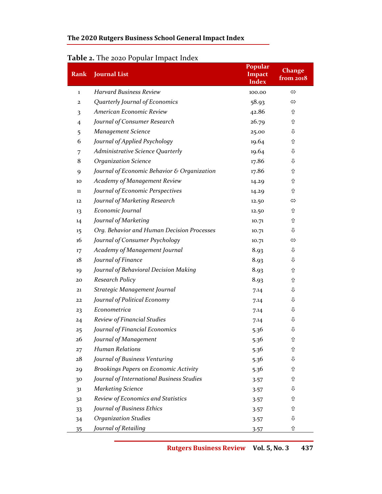## The 2020 Rutgers Business School General Impact Index

# Table 2. The 2020 Popular Impact Index

| Rank           | <b>Journal List</b>                         | Popular<br>Impact<br><b>Index</b> | <b>Change</b><br>from 2018 |
|----------------|---------------------------------------------|-----------------------------------|----------------------------|
| 1              | <b>Harvard Business Review</b>              | 100.00                            | $\Leftrightarrow$          |
| $\mathbf{2}$   | Quarterly Journal of Economics              | 58.93                             | ⇔                          |
| 3              | American Economic Review                    | 42.86                             | ⇧                          |
| $\overline{4}$ | Journal of Consumer Research                | 26.79                             | ⇧                          |
| 5              | <b>Management Science</b>                   | 25.00                             | ⇩                          |
| 6              | Journal of Applied Psychology               | 19.64                             | ⇧                          |
| 7              | Administrative Science Quarterly            | 19.64                             | ⇩                          |
| 8              | <b>Organization Science</b>                 | 17.86                             | ⇩                          |
| 9              | Journal of Economic Behavior & Organization | 17.86                             | ⇧                          |
| 10             | Academy of Management Review                | 14.29                             | ⇧                          |
| 11             | Journal of Economic Perspectives            | 14.29                             | ⇧                          |
| 12             | Journal of Marketing Research               | 12.50                             | ⇔                          |
| 13             | Economic Journal                            | 12.50                             | ⇧                          |
| 14             | Journal of Marketing                        | 10.71                             | ⇧                          |
| 15             | Org. Behavior and Human Decision Processes  | 10.71                             | ⇩                          |
| 16             | Journal of Consumer Psychology              | 10.71                             | ⇔                          |
| 17             | Academy of Management Journal               | 8.93                              | ⇩                          |
| 18             | Journal of Finance                          | 8.93                              | ⇩                          |
| 19             | Journal of Behavioral Decision Making       | 8.93                              | ⇧                          |
| 20             | Research Policy                             | 8.93                              | ⇧                          |
| 21             | Strategic Management Journal                | 7.14                              | ⇩                          |
| 22             | Journal of Political Economy                | 7.14                              | ⇩                          |
| 23             | Econometrica                                | 7.14                              | ⇩                          |
| 24             | Review of Financial Studies                 | 7.14                              | ⇩                          |
| 25             | Journal of Financial Economics              | 5.36                              | ⇩                          |
| 26             | Journal of Management                       | 5.36                              | ⇧                          |
| 27             | <b>Human Relations</b>                      | 5.36                              | ⇧                          |
| 28             | Journal of Business Venturing               | 5.36                              | ⇩                          |
| 29             | Brookings Papers on Economic Activity       | 5.36                              | ⇧                          |
| 30             | Journal of International Business Studies   | 3.57                              | ⇧                          |
| 31             | <b>Marketing Science</b>                    | 3.57                              | ⇩                          |
| 32             | Review of Economics and Statistics          | 3.57                              | ⇧                          |
| 33             | Journal of Business Ethics                  | 3.57                              | ⇧                          |
| 34             | <b>Organization Studies</b>                 | 3.57                              | ⇩                          |
| <u>35</u>      | Journal of Retailing                        | 3.57                              | ⇧                          |

Rutgers Business Review Vol. 5, No. 3 437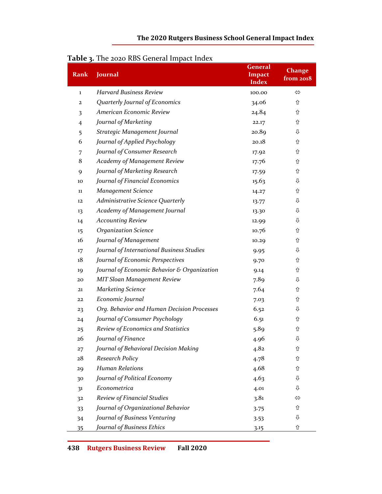| Rank           | Journal                                     | <b>General</b><br>Impact<br><b>Index</b> | <b>Change</b><br>from 2018 |
|----------------|---------------------------------------------|------------------------------------------|----------------------------|
| $\mathbf 1$    | <b>Harvard Business Review</b>              | 100.00                                   | $\Leftrightarrow$          |
| $\mathbf{z}$   | Quarterly Journal of Economics              | 34.06                                    | ⇧                          |
| 3              | American Economic Review                    | 24.84                                    | ⇧                          |
| $\overline{4}$ | Journal of Marketing                        | 22.17                                    | ⇧                          |
| 5              | Strategic Management Journal                | 20.89                                    | ⇩                          |
| 6              | Journal of Applied Psychology               | 20.18                                    | ⇧                          |
| 7              | Journal of Consumer Research                | 17.92                                    | ⇧                          |
| 8              | Academy of Management Review                | 17.76                                    | ⇧                          |
| 9              | Journal of Marketing Research               | 17.59                                    | ⇧                          |
| 10             | Journal of Financial Economics              | 15.63                                    | ⇩                          |
| $11\,$         | <b>Management Science</b>                   | 14.27                                    | ⇧                          |
| 12             | Administrative Science Quarterly            | 13.77                                    | ⇩                          |
| 13             | Academy of Management Journal               | 13.30                                    | ⇩                          |
| 14             | <b>Accounting Review</b>                    | 12.99                                    | ⇩                          |
| 15             | <b>Organization Science</b>                 | 10.76                                    | ⇧                          |
| 16             | Journal of Management                       | 10.29                                    | ⇧                          |
| 17             | Journal of International Business Studies   | 9.95                                     | ⇩                          |
| 18             | Journal of Economic Perspectives            | 9.70                                     | ⇧                          |
| 19             | Journal of Economic Behavior & Organization | 9.14                                     | ⇧                          |
| 20             | <b>MIT Sloan Management Review</b>          | 7.89                                     | ⇩                          |
| 21             | <b>Marketing Science</b>                    | 7.64                                     | ⇧                          |
| 22             | Economic Journal                            | 7.03                                     | ⇧                          |
| 23             | Org. Behavior and Human Decision Processes  | 6.52                                     | ⇩                          |
| 24             | Journal of Consumer Psychology              | 6.51                                     | ⇧                          |
| 25             | Review of Economics and Statistics          | 5.89                                     | ⇧                          |
| 26             | Journal of Finance                          | 4.96                                     | ⇩                          |
| 27             | Journal of Behavioral Decision Making       | 4.82                                     | ⇧                          |
| 28             | Research Policy                             | 4.78                                     | ⇧                          |
| 29             | <b>Human Relations</b>                      | 4.68                                     | ⇧                          |
| 30             | Journal of Political Economy                | 4.63                                     | ⇩                          |
| 3 <sup>1</sup> | Econometrica                                | 4.01                                     | ⇩                          |
| 32             | Review of Financial Studies                 | 3.81                                     | ⇔                          |
| 33             | Journal of Organizational Behavior          | 3.75                                     | ⇧                          |
| 34             | Journal of Business Venturing               | 3.53                                     | ⇩                          |
| 35             | Journal of Business Ethics                  | 3.15                                     | ⇧                          |

## Table 3. The 2020 RBS General Impact Index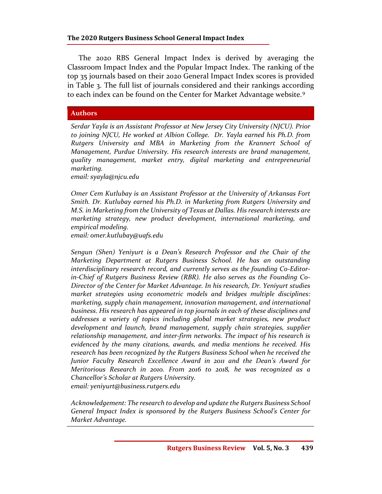The 2020 RBS General Impact Index is derived by averaging the Classroom Impact Index and the Popular Impact Index. The ranking of the top 35 journals based on their 2020 General Impact Index scores is provided in Table 3. The full list of journals considered and their rankings according to each index can be found on the Center for Market Advantage website.<sup>9</sup>

#### Authors

Serdar Yayla is an Assistant Professor at New Jersey City University (NJCU). Prior to joining NJCU, He worked at Albion College. Dr. Yayla earned his Ph.D. from Rutgers University and MBA in Marketing from the Krannert School of Management, Purdue University. His research interests are brand management, quality management, market entry, digital marketing and entrepreneurial marketing.

email: syayla@njcu.edu

Omer Cem Kutlubay is an Assistant Professor at the University of Arkansas Fort Smith. Dr. Kutlubay earned his Ph.D. in Marketing from Rutgers University and M.S. in Marketing from the University of Texas at Dallas. His research interests are marketing strategy, new product development, international marketing, and empirical modeling.

email: omer.kutlubay@uafs.edu

Sengun (Shen) Yeniyurt is a Dean's Research Professor and the Chair of the Marketing Department at Rutgers Business School. He has an outstanding interdisciplinary research record, and currently serves as the founding Co-Editorin-Chief of Rutgers Business Review (RBR). He also serves as the Founding Co-Director of the Center for Market Advantage. In his research, Dr. Yeniyurt studies market strategies using econometric models and bridges multiple disciplines: marketing, supply chain management, innovation management, and international business. His research has appeared in top journals in each of these disciplines and addresses a variety of topics including global market strategies, new product development and launch, brand management, supply chain strategies, supplier relationship management, and inter-firm networks. The impact of his research is evidenced by the many citations, awards, and media mentions he received. His research has been recognized by the Rutgers Business School when he received the Junior Faculty Research Excellence Award in 2011 and the Dean's Award for Meritorious Research in 2010. From 2016 to 2018, he was recognized as a Chancellor's Scholar at Rutgers University. email: yeniyurt@business.rutgers.edu

Acknowledgement: The research to develop and update the Rutgers Business School General Impact Index is sponsored by the Rutgers Business School's Center for Market Advantage.